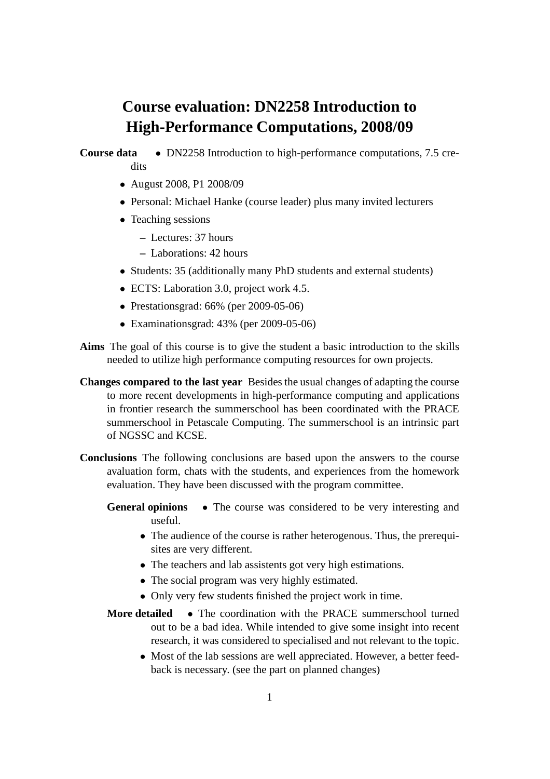## **Course evaluation: DN2258 Introduction to High-Performance Computations, 2008/09**

## **Course data** • DN2258 Introduction to high-performance computations, 7.5 credits

- August 2008, P1 2008/09
- Personal: Michael Hanke (course leader) plus many invited lecturers
- Teaching sessions
	- **–** Lectures: 37 hours
	- **–** Laborations: 42 hours
- Students: 35 (additionally many PhD students and external students)
- ECTS: Laboration 3.0, project work 4.5.
- Prestationsgrad: 66% (per 2009-05-06)
- Examinationsgrad: 43% (per 2009-05-06)
- **Aims** The goal of this course is to give the student a basic introduction to the skills needed to utilize high performance computing resources for own projects.
- **Changes compared to the last year** Besides the usual changes of adapting the course to more recent developments in high-performance computing and applications in frontier research the summerschool has been coordinated with the PRACE summerschool in Petascale Computing. The summerschool is an intrinsic part of NGSSC and KCSE.
- **Conclusions** The following conclusions are based upon the answers to the course avaluation form, chats with the students, and experiences from the homework evaluation. They have been discussed with the program committee.
	- **General opinions** The course was considered to be very interesting and useful.
		- The audience of the course is rather heterogenous. Thus, the prerequisites are very different.
		- The teachers and lab assistents got very high estimations.
		- The social program was very highly estimated.
		- Only very few students finished the project work in time.
	- **More detailed** The coordination with the PRACE summerschool turned out to be a bad idea. While intended to give some insight into recent research, it was considered to specialised and not relevant to the topic.
		- Most of the lab sessions are well appreciated. However, a better feedback is necessary. (see the part on planned changes)